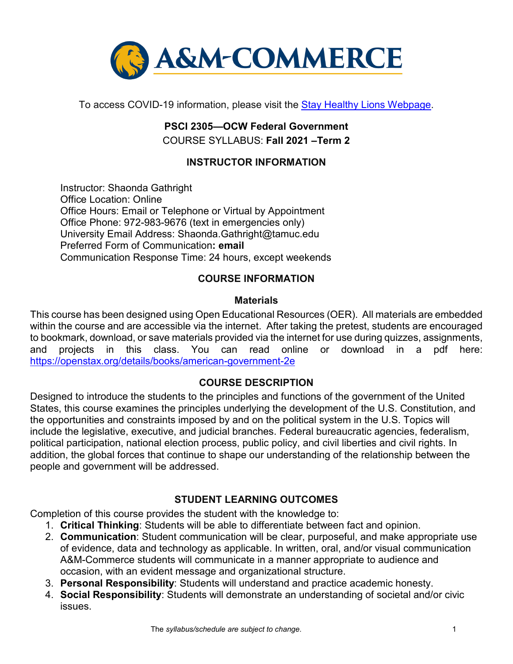

To access COVID-19 information, please visit the [Stay Healthy Lions Webpage.](https://new.tamuc.edu/coronavirus/)

# **PSCI 2305—OCW Federal Government** COURSE SYLLABUS: **Fall 2021 –Term 2**

# **INSTRUCTOR INFORMATION**

Instructor: Shaonda Gathright Office Location: Online Office Hours: Email or Telephone or Virtual by Appointment Office Phone: 972-983-9676 (text in emergencies only) University Email Address: Shaonda.Gathright@tamuc.edu Preferred Form of Communication**: email** Communication Response Time: 24 hours, except weekends

### **COURSE INFORMATION**

#### **Materials**

This course has been designed using Open Educational Resources (OER). All materials are embedded within the course and are accessible via the internet. After taking the pretest, students are encouraged to bookmark, download, or save materials provided via the internet for use during quizzes, assignments, and projects in this class. You can read online or download in a pdf here: <https://openstax.org/details/books/american-government-2e>

#### **[COURSE DESCRIPTION](http://catalog.tamuc.edu/undergrad/colleges-and-departments/college-of-innovation-design/baas-organizational-leadership/?_ga=2.81546143.928332977.1616426723-584154711.1595512675)**

Designed to introduce the students to the principles and functions of the government of the United States, this course examines the principles underlying the development of the U.S. Constitution, and the opportunities and constraints imposed by and on the political system in the U.S. Topics will include the legislative, executive, and judicial branches. Federal bureaucratic agencies, federalism, political participation, national election process, public policy, and civil liberties and civil rights. In addition, the global forces that continue to shape our understanding of the relationship between the people and government will be addressed.

# **STUDENT LEARNING OUTCOMES**

Completion of this course provides the student with the knowledge to:

- 1. **Critical Thinking**: Students will be able to differentiate between fact and opinion.
- 2. **Communication**: Student communication will be clear, purposeful, and make appropriate use of evidence, data and technology as applicable. In written, oral, and/or visual communication A&M-Commerce students will communicate in a manner appropriate to audience and occasion, with an evident message and organizational structure.
- 3. **Personal Responsibility**: Students will understand and practice academic honesty.
- 4. **Social Responsibility**: Students will demonstrate an understanding of societal and/or civic issues.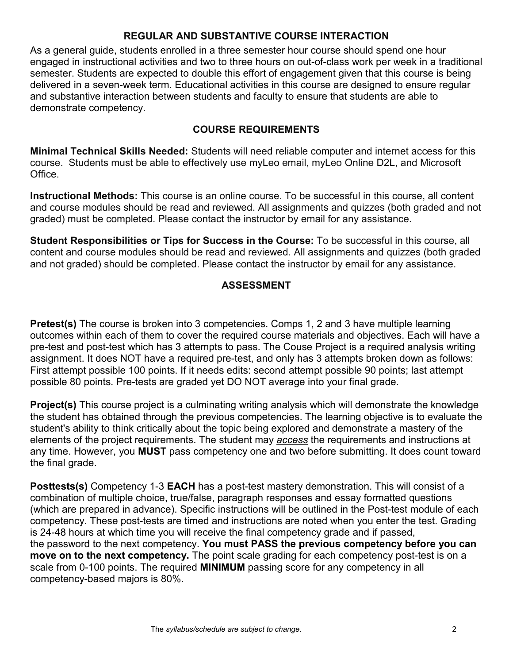### **REGULAR AND SUBSTANTIVE COURSE INTERACTION**

As a general guide, students enrolled in a three semester hour course should spend one hour engaged in instructional activities and two to three hours on out-of-class work per week in a traditional semester. Students are expected to double this effort of engagement given that this course is being delivered in a seven-week term. Educational activities in this course are designed to ensure regular and substantive interaction between students and faculty to ensure that students are able to demonstrate competency.

#### **COURSE REQUIREMENTS**

**Minimal Technical Skills Needed:** Students will need reliable computer and internet access for this course. Students must be able to effectively use myLeo email, myLeo Online D2L, and Microsoft Office.

**Instructional Methods:** This course is an online course. To be successful in this course, all content and course modules should be read and reviewed. All assignments and quizzes (both graded and not graded) must be completed. Please contact the instructor by email for any assistance.

**Student Responsibilities or Tips for Success in the Course:** To be successful in this course, all content and course modules should be read and reviewed. All assignments and quizzes (both graded and not graded) should be completed. Please contact the instructor by email for any assistance.

# **ASSESSMENT**

**Pretest(s)** The course is broken into 3 competencies. Comps 1, 2 and 3 have multiple learning outcomes within each of them to cover the required course materials and objectives. Each will have a pre-test and post-test which has 3 attempts to pass. The Couse Project is a required analysis writing assignment. It does NOT have a required pre-test, and only has 3 attempts broken down as follows: First attempt possible 100 points. If it needs edits: second attempt possible 90 points; last attempt possible 80 points. Pre-tests are graded yet DO NOT average into your final grade.

**Project(s)** This course project is a culminating writing analysis which will demonstrate the knowledge the student has obtained through the previous competencies. The learning objective is to evaluate the student's ability to think critically about the topic being explored and demonstrate a mastery of the elements of the project requirements. The student may *access* the requirements and instructions at any time. However, you **MUST** pass competency one and two before submitting. It does count toward the final grade.

**Posttests(s)** Competency 1-3 **EACH** has a post-test mastery demonstration. This will consist of a combination of multiple choice, true/false, paragraph responses and essay formatted questions (which are prepared in advance). Specific instructions will be outlined in the Post-test module of each competency. These post-tests are timed and instructions are noted when you enter the test. Grading is 24-48 hours at which time you will receive the final competency grade and if passed, the password to the next competency. **You must PASS the previous competency before you can move on to the next competency.** The point scale grading for each competency post-test is on a scale from 0-100 points. The required **MINIMUM** passing score for any competency in all competency-based majors is 80%.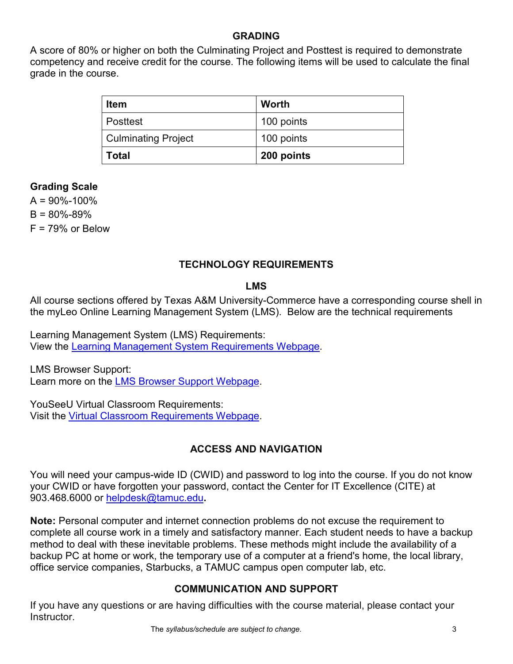### **GRADING**

A score of 80% or higher on both the Culminating Project and Posttest is required to demonstrate competency and receive credit for the course. The following items will be used to calculate the final grade in the course.

| <b>Item</b>                | <b>Worth</b> |
|----------------------------|--------------|
| Posttest                   | 100 points   |
| <b>Culminating Project</b> | 100 points   |
| <b>Total</b>               | 200 points   |

### **Grading Scale**

 $A = 90\% - 100\%$  $B = 80\% - 89\%$  $F = 79\%$  or Below

# **TECHNOLOGY REQUIREMENTS**

#### **LMS**

All course sections offered by Texas A&M University-Commerce have a corresponding course shell in the myLeo Online Learning Management System (LMS). Below are the technical requirements

Learning Management System (LMS) Requirements: View the [Learning Management System Requirements Webpage.](https://community.brightspace.com/s/article/Brightspace-Platform-Requirements)

LMS Browser Support: Learn more on the [LMS Browser Support Webpage.](https://documentation.brightspace.com/EN/brightspace/requirements/all/browser_support.htm)

YouSeeU Virtual Classroom Requirements: Visit the [Virtual Classroom Requirements Webpage.](https://support.youseeu.com/hc/en-us/articles/115007031107-Basic-System-Requirements)

# **ACCESS AND NAVIGATION**

You will need your campus-wide ID (CWID) and password to log into the course. If you do not know your CWID or have forgotten your password, contact the Center for IT Excellence (CITE) at 903.468.6000 or [helpdesk@tamuc.edu](mailto:helpdesk@tamuc.edu)**.**

**Note:** Personal computer and internet connection problems do not excuse the requirement to complete all course work in a timely and satisfactory manner. Each student needs to have a backup method to deal with these inevitable problems. These methods might include the availability of a backup PC at home or work, the temporary use of a computer at a friend's home, the local library, office service companies, Starbucks, a TAMUC campus open computer lab, etc.

# **COMMUNICATION AND SUPPORT**

If you have any questions or are having difficulties with the course material, please contact your Instructor.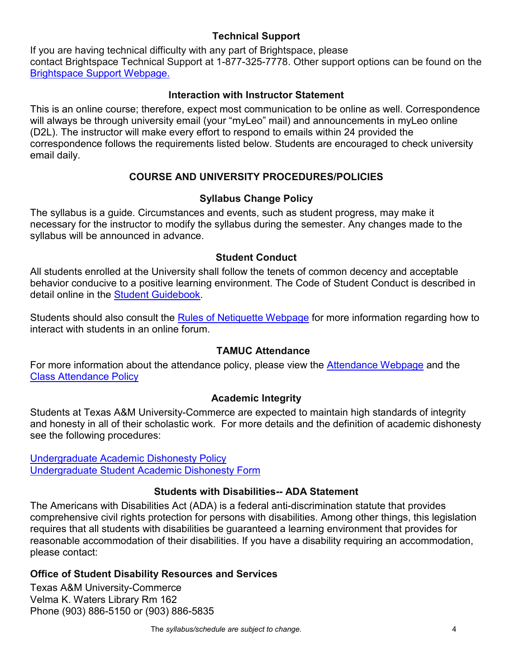### **Technical Support**

If you are having technical difficulty with any part of Brightspace, please contact Brightspace Technical Support at 1-877-325-7778. Other support options can be found on the [Brightspace Support Webpage.](https://community.brightspace.com/support/s/contactsupport)

#### **Interaction with Instructor Statement**

This is an online course; therefore, expect most communication to be online as well. Correspondence will always be through university email (your "myLeo" mail) and announcements in myLeo online (D2L). The instructor will make every effort to respond to emails within 24 provided the correspondence follows the requirements listed below. Students are encouraged to check university email daily.

# **COURSE AND UNIVERSITY PROCEDURES/POLICIES**

# **Syllabus Change Policy**

The syllabus is a guide. Circumstances and events, such as student progress, may make it necessary for the instructor to modify the syllabus during the semester. Any changes made to the syllabus will be announced in advance.

### **Student Conduct**

All students enrolled at the University shall follow the tenets of common decency and acceptable behavior conducive to a positive learning environment. The Code of Student Conduct is described in detail online in the **Student Guidebook**.

Students should also consult the [Rules of Netiquette Webpage](https://www.britannica.com/topic/netiquette) for more information regarding how to interact with students in an online forum.

# **TAMUC Attendance**

For more information about the attendance policy, please view the [Attendance Webpage](http://www.tamuc.edu/admissions/registrar/generalInformation/attendance.aspx) and the [Class Attendance Policy](http://www.tamuc.edu/aboutUs/policiesProceduresStandardsStatements/rulesProcedures/13students/academic/13.99.99.R0.01.pdf)

#### **Academic Integrity**

Students at Texas A&M University-Commerce are expected to maintain high standards of integrity and honesty in all of their scholastic work. For more details and the definition of academic dishonesty see the following procedures:

[Undergraduate Academic Dishonesty P](http://www.tamuc.edu/aboutUs/policiesProceduresStandardsStatements/rulesProcedures/13students/undergraduates/13.99.99.R0.03UndergraduateAcademicDishonesty.pdf)olicy [Undergraduate Student Academic Dishonesty Form](http://www.tamuc.edu/aboutUs/policiesProceduresStandardsStatements/rulesProcedures/documents/13.99.99.R0.03UndergraduateStudentAcademicDishonestyForm.pdf)

# **Students with Disabilities-- ADA Statement**

The Americans with Disabilities Act (ADA) is a federal anti-discrimination statute that provides comprehensive civil rights protection for persons with disabilities. Among other things, this legislation requires that all students with disabilities be guaranteed a learning environment that provides for reasonable accommodation of their disabilities. If you have a disability requiring an accommodation, please contact:

# **Office of Student Disability Resources and Services**

Texas A&M University-Commerce Velma K. Waters Library Rm 162 Phone (903) 886-5150 or (903) 886-5835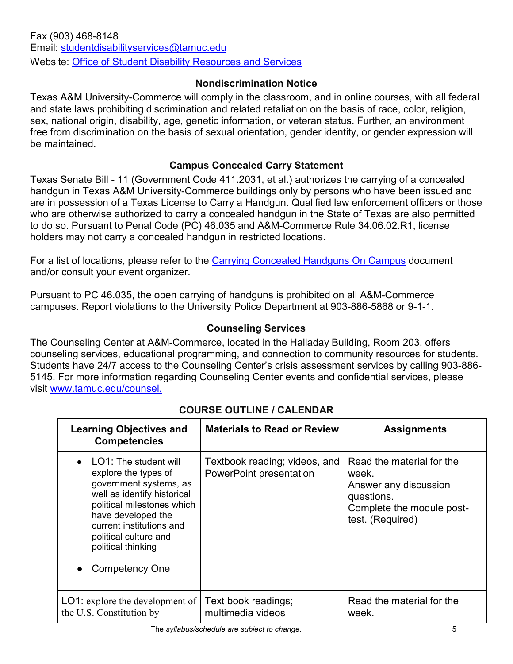### **Nondiscrimination Notice**

Texas A&M University-Commerce will comply in the classroom, and in online courses, with all federal and state laws prohibiting discrimination and related retaliation on the basis of race, color, religion, sex, national origin, disability, age, genetic information, or veteran status. Further, an environment free from discrimination on the basis of sexual orientation, gender identity, or gender expression will be maintained.

### **Campus Concealed Carry Statement**

Texas Senate Bill - 11 (Government Code 411.2031, et al.) authorizes the carrying of a concealed handgun in Texas A&M University-Commerce buildings only by persons who have been issued and are in possession of a Texas License to Carry a Handgun. Qualified law enforcement officers or those who are otherwise authorized to carry a concealed handgun in the State of Texas are also permitted to do so. Pursuant to Penal Code (PC) 46.035 and A&M-Commerce Rule 34.06.02.R1, license holders may not carry a concealed handgun in restricted locations.

For a list of locations, please refer to the [Carrying Concealed Handguns On Campus](http://www.tamuc.edu/aboutUs/policiesProceduresStandardsStatements/rulesProcedures/34SafetyOfEmployeesAndStudents/34.06.02.R1.pdf) document and/or consult your event organizer.

Pursuant to PC 46.035, the open carrying of handguns is prohibited on all A&M-Commerce campuses. Report violations to the University Police Department at 903-886-5868 or 9-1-1.

# **Counseling Services**

The Counseling Center at A&M-Commerce, located in the Halladay Building, Room 203, offers counseling services, educational programming, and connection to community resources for students. Students have 24/7 access to the Counseling Center's crisis assessment services by calling 903-886- 5145. For more information regarding Counseling Center events and confidential services, please visit [www.tamuc.edu/counsel.](http://www.tamuc.edu/counsel)

| <b>Learning Objectives and</b><br><b>Competencies</b>                                                                                                                                                                                                                    | <b>Materials to Read or Review</b>                              | <b>Assignments</b>                                                                                                         |
|--------------------------------------------------------------------------------------------------------------------------------------------------------------------------------------------------------------------------------------------------------------------------|-----------------------------------------------------------------|----------------------------------------------------------------------------------------------------------------------------|
| $\bullet$ LO1: The student will<br>explore the types of<br>government systems, as<br>well as identify historical<br>political milestones which<br>have developed the<br>current institutions and<br>political culture and<br>political thinking<br><b>Competency One</b> | Textbook reading; videos, and<br><b>PowerPoint presentation</b> | Read the material for the<br>week.<br>Answer any discussion<br>questions.<br>Complete the module post-<br>test. (Required) |
| LO1: explore the development of Text book readings;<br>the U.S. Constitution by                                                                                                                                                                                          | multimedia videos                                               | Read the material for the<br>week.                                                                                         |

# **COURSE OUTLINE / CALENDAR**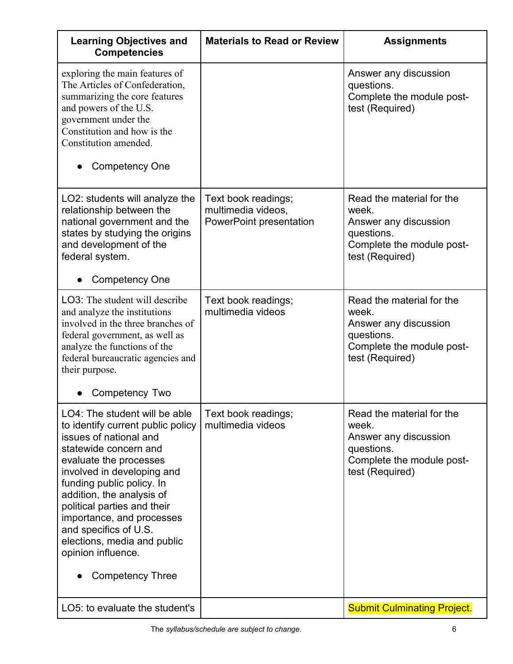| <b>Learning Objectives and</b><br><b>Competencies</b>                                                                                                                                                                                                                                                                                                                                                        | <b>Materials to Read or Review</b>                                          | <b>Assignments</b>                                                                                                        |
|--------------------------------------------------------------------------------------------------------------------------------------------------------------------------------------------------------------------------------------------------------------------------------------------------------------------------------------------------------------------------------------------------------------|-----------------------------------------------------------------------------|---------------------------------------------------------------------------------------------------------------------------|
| exploring the main features of<br>The Articles of Confederation,<br>summarizing the core features<br>and powers of the U.S.<br>government under the<br>Constitution and how is the<br>Constitution amended.<br><b>Competency One</b>                                                                                                                                                                         |                                                                             | Answer any discussion<br>questions.<br>Complete the module post-<br>test (Required)                                       |
| LO2: students will analyze the<br>relationship between the<br>national government and the<br>states by studying the origins<br>and development of the<br>federal system.<br><b>Competency One</b>                                                                                                                                                                                                            | Text book readings;<br>multimedia videos,<br><b>PowerPoint presentation</b> | Read the material for the<br>week.<br>Answer any discussion<br>questions.<br>Complete the module post-<br>test (Required) |
| LO3: The student will describe<br>and analyze the institutions<br>involved in the three branches of<br>federal government, as well as<br>analyze the functions of the<br>federal bureaucratic agencies and<br>their purpose.<br>Competency Two                                                                                                                                                               | Text book readings;<br>multimedia videos                                    | Read the material for the<br>week.<br>Answer any discussion<br>questions.<br>Complete the module post-<br>test (Required) |
| LO4: The student will be able<br>to identify current public policy<br>issues of national and<br>statewide concern and<br>evaluate the processes<br>involved in developing and<br>funding public policy. In<br>addition, the analysis of<br>political parties and their<br>importance, and processes<br>and specifics of U.S.<br>elections, media and public<br>opinion influence.<br><b>Competency Three</b> | Text book readings;<br>multimedia videos                                    | Read the material for the<br>week.<br>Answer any discussion<br>questions.<br>Complete the module post-<br>test (Required) |
| LO5: to evaluate the student's                                                                                                                                                                                                                                                                                                                                                                               |                                                                             | <b>Submit Culminating Project.</b>                                                                                        |